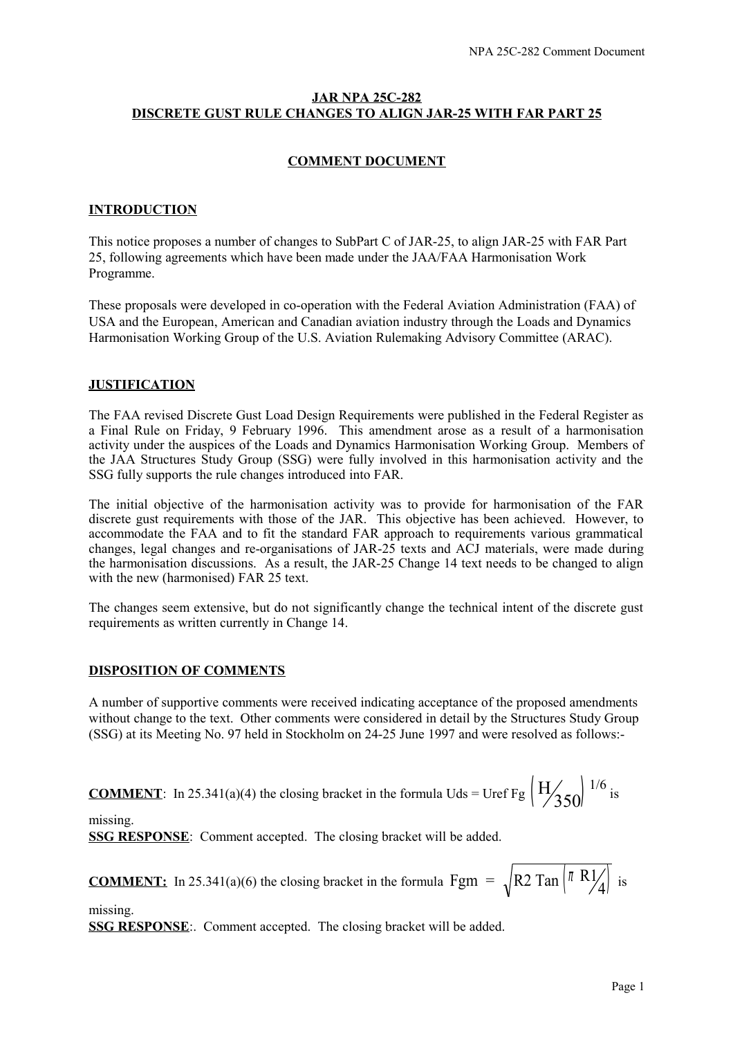# **JAR NPA 25C-282 DISCRETE GUST RULE CHANGES TO ALIGN JAR-25 WITH FAR PART 25**

# **COMMENT DOCUMENT**

### **INTRODUCTION**

This notice proposes a number of changes to SubPart C of JAR-25, to align JAR-25 with FAR Part 25, following agreements which have been made under the JAA/FAA Harmonisation Work Programme.

These proposals were developed in co-operation with the Federal Aviation Administration (FAA) of USA and the European, American and Canadian aviation industry through the Loads and Dynamics Harmonisation Working Group of the U.S. Aviation Rulemaking Advisory Committee (ARAC).

#### **JUSTIFICATION**

The FAA revised Discrete Gust Load Design Requirements were published in the Federal Register as a Final Rule on Friday, 9 February 1996. This amendment arose as a result of a harmonisation activity under the auspices of the Loads and Dynamics Harmonisation Working Group. Members of the JAA Structures Study Group (SSG) were fully involved in this harmonisation activity and the SSG fully supports the rule changes introduced into FAR.

The initial objective of the harmonisation activity was to provide for harmonisation of the FAR discrete gust requirements with those of the JAR. This objective has been achieved. However, to accommodate the FAA and to fit the standard FAR approach to requirements various grammatical changes, legal changes and re-organisations of JAR-25 texts and ACJ materials, were made during the harmonisation discussions. As a result, the JAR-25 Change 14 text needs to be changed to align with the new (harmonised) FAR 25 text.

The changes seem extensive, but do not significantly change the technical intent of the discrete gust requirements as written currently in Change 14.

# **DISPOSITION OF COMMENTS**

A number of supportive comments were received indicating acceptance of the proposed amendments without change to the text. Other comments were considered in detail by the Structures Study Group (SSG) at its Meeting No. 97 held in Stockholm on 24-25 June 1997 and were resolved as follows:-

**COMMENT**: In 25.341(a)(4) the closing bracket in the formula Uds = Uref Fg 
$$
\left(\frac{H}{350}\right)^{1/6}
$$
 is

missing. **SSG RESPONSE**: Comment accepted. The closing bracket will be added.

**COMMENT:** In 25.341(a)(6) the closing bracket in the formula Fgm =  $\sqrt{R2 \text{ Tan}} \begin{bmatrix} \pi R1_A \\ \pi R \end{bmatrix}$  $\binom{\pi}{4}$  is

missing.

**SSG RESPONSE**:. Comment accepted. The closing bracket will be added.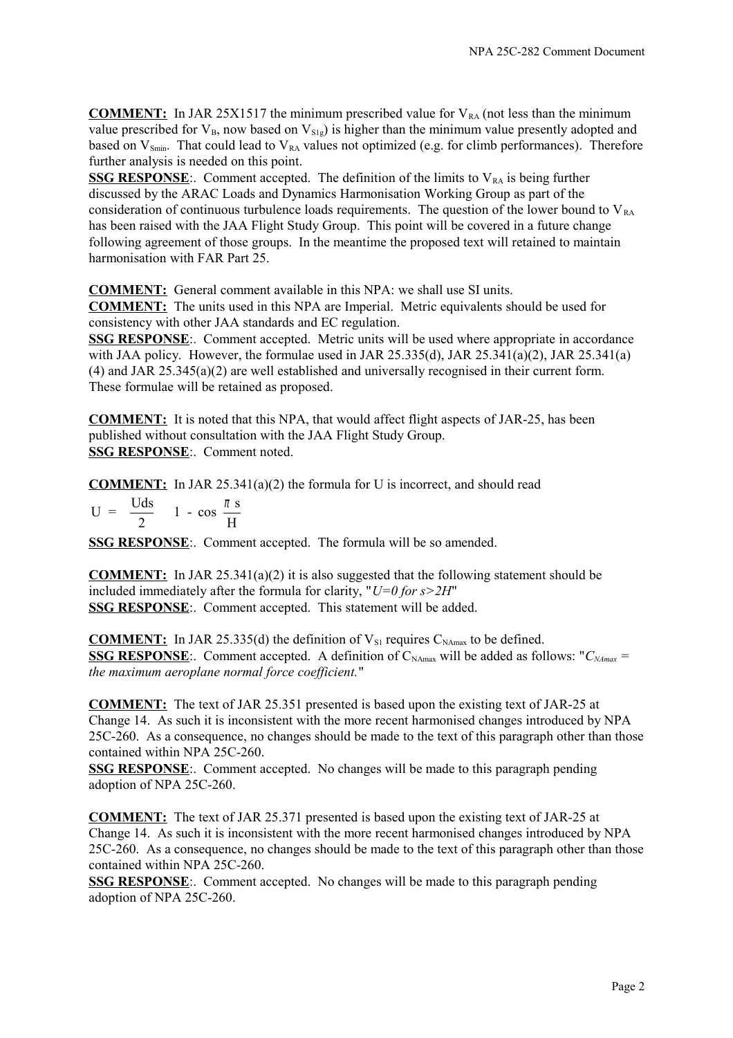**COMMENT:** In JAR 25X1517 the minimum prescribed value for  $V_{RA}$  (not less than the minimum value prescribed for  $V_{B}$ , now based on  $V_{S1g}$ ) is higher than the minimum value presently adopted and based on  $V_{Smin}$ . That could lead to  $V_{RA}$  values not optimized (e.g. for climb performances). Therefore further analysis is needed on this point.

**SSG RESPONSE:.** Comment accepted. The definition of the limits to  $V_{RA}$  is being further discussed by the ARAC Loads and Dynamics Harmonisation Working Group as part of the consideration of continuous turbulence loads requirements. The question of the lower bound to  $V_{RA}$ has been raised with the JAA Flight Study Group. This point will be covered in a future change following agreement of those groups. In the meantime the proposed text will retained to maintain harmonisation with FAR Part 25.

**COMMENT:** General comment available in this NPA: we shall use SI units.

**COMMENT:** The units used in this NPA are Imperial. Metric equivalents should be used for consistency with other JAA standards and EC regulation.

**SSG RESPONSE**:. Comment accepted. Metric units will be used where appropriate in accordance with JAA policy. However, the formulae used in JAR 25.335(d), JAR 25.341(a)(2), JAR 25.341(a) (4) and JAR 25.345(a)(2) are well established and universally recognised in their current form. These formulae will be retained as proposed.

**COMMENT:** It is noted that this NPA, that would affect flight aspects of JAR-25, has been published without consultation with the JAA Flight Study Group. **SSG RESPONSE**:. Comment noted.

**COMMENT:** In JAR 25.341(a)(2) the formula for U is incorrect, and should read

 $U = \frac{Uds}{2}$ 2  $1 - \cos \frac{\pi s}{1}$ H π  $\left(\frac{\pi}{H}\right)$  $\bigg\}$ L l T J

**SSG RESPONSE**:. Comment accepted. The formula will be so amended.

**COMMENT:** In JAR 25.341(a)(2) it is also suggested that the following statement should be included immediately after the formula for clarity, "*U=0 for s>2H*" **SSG RESPONSE**:. Comment accepted. This statement will be added.

**COMMENT:** In JAR 25.335(d) the definition of  $V_{\text{SI}}$  requires  $C_{\text{NAmax}}$  to be defined. **SSG RESPONSE**:. Comment accepted. A definition of C<sub>NAmax</sub> will be added as follows: " $C_{Mmax}$  = *the maximum aeroplane normal force coefficient.*"

**COMMENT:** The text of JAR 25.351 presented is based upon the existing text of JAR-25 at Change 14. As such it is inconsistent with the more recent harmonised changes introduced by NPA 25C-260. As a consequence, no changes should be made to the text of this paragraph other than those contained within NPA 25C-260.

**SSG RESPONSE**:. Comment accepted. No changes will be made to this paragraph pending adoption of NPA 25C-260.

**COMMENT:** The text of JAR 25.371 presented is based upon the existing text of JAR-25 at Change 14. As such it is inconsistent with the more recent harmonised changes introduced by NPA 25C-260. As a consequence, no changes should be made to the text of this paragraph other than those contained within NPA 25C-260.

**SSG RESPONSE**:. Comment accepted. No changes will be made to this paragraph pending adoption of NPA 25C-260.